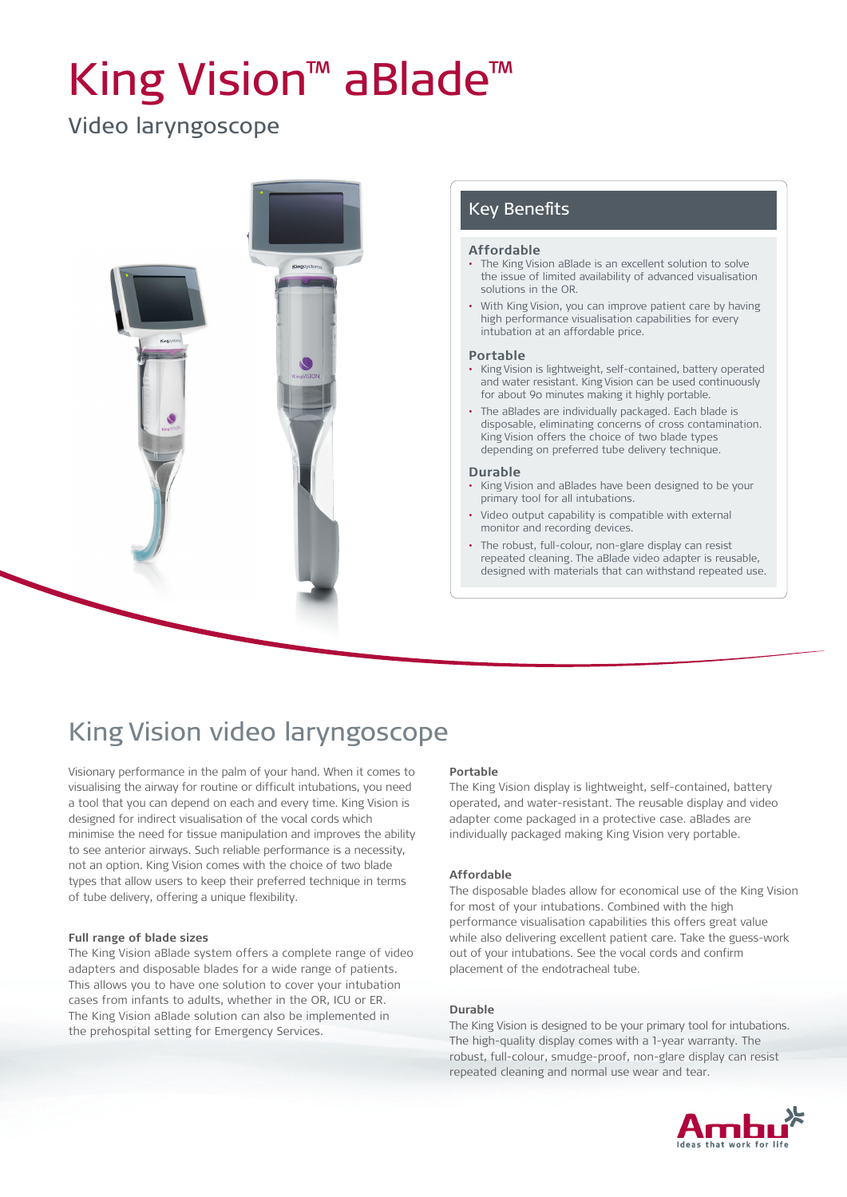# King Vision™ aBlade™

## Video laryngoscope



## Key Benefits

#### **Affordable**

- The King Vision aBlade is an excellent solution to solve the issue of limited availability of advanced visualisation solutions in the OR.
- With King Vision, you can improve patient care by having high performance visualisation capabilities for every intubation at an affordable price.

#### **Portable**

- King Vision is lightweight, self-contained, battery operated and water resistant. King Vision can be used continuously for about 90 minutes making it highly portable.
- The aBlades are individually packaged. Each blade is disposable, eliminating concerns of cross contamination. King Vision offers the choice of two blade types depending on preferred tube delivery technique.

#### **Durable**

- King Vision and aBlades have been designed to be your primary tool for all intubations.
- Video output capability is compatible with external monitor and recording devices.
- The robust, full-colour, non-glare display can resist repeated cleaning. The aBlade video adapter is reusable, designed with materials that can withstand repeated use.

## King Vision video laryngoscope

Visionary performance in the palm of your hand. When it comes to visualising the airway for routine or difficult intubations, you need a tool that you can depend on each and every time. King Vision is designed for indirect visualisation of the vocal cords which minimise the need for tissue manipulation and improves the ability to see anterior airways. Such reliable performance is a necessity, not an option. King Vision comes with the choice of two blade types that allow users to keep their preferred technique in terms of tube delivery, offering a unique flexibility.

#### **Full range of blade sizes**

The King Vision aBlade system offers a complete range of video adapters and disposable blades for a wide range of patients. This allows you to have one solution to cover your intubation cases from infants to adults, whether in the OR, ICU or ER. The King Vision aBlade solution can also be implemented in the prehospital setting for Emergency Services.

#### **Portable**

The King Vision display is lightweight, self-contained, battery operated, and water-resistant. The reusable display and video adapter come packaged in a protective case. aBlades are individually packaged making King Vision very portable.

#### **Affordable**

The disposable blades allow for economical use of the King Vision for most of your intubations. Combined with the high performance visualisation capabilities this offers great value while also delivering excellent patient care. Take the guess-work out of your intubations. See the vocal cords and confirm placement of the endotracheal tube.

#### **Durable**

The King Vision is designed to be your primary tool for intubations. The high-quality display comes with a 1-year warranty. The robust, full-colour, smudge-proof, non-glare display can resist repeated cleaning and normal use wear and tear.